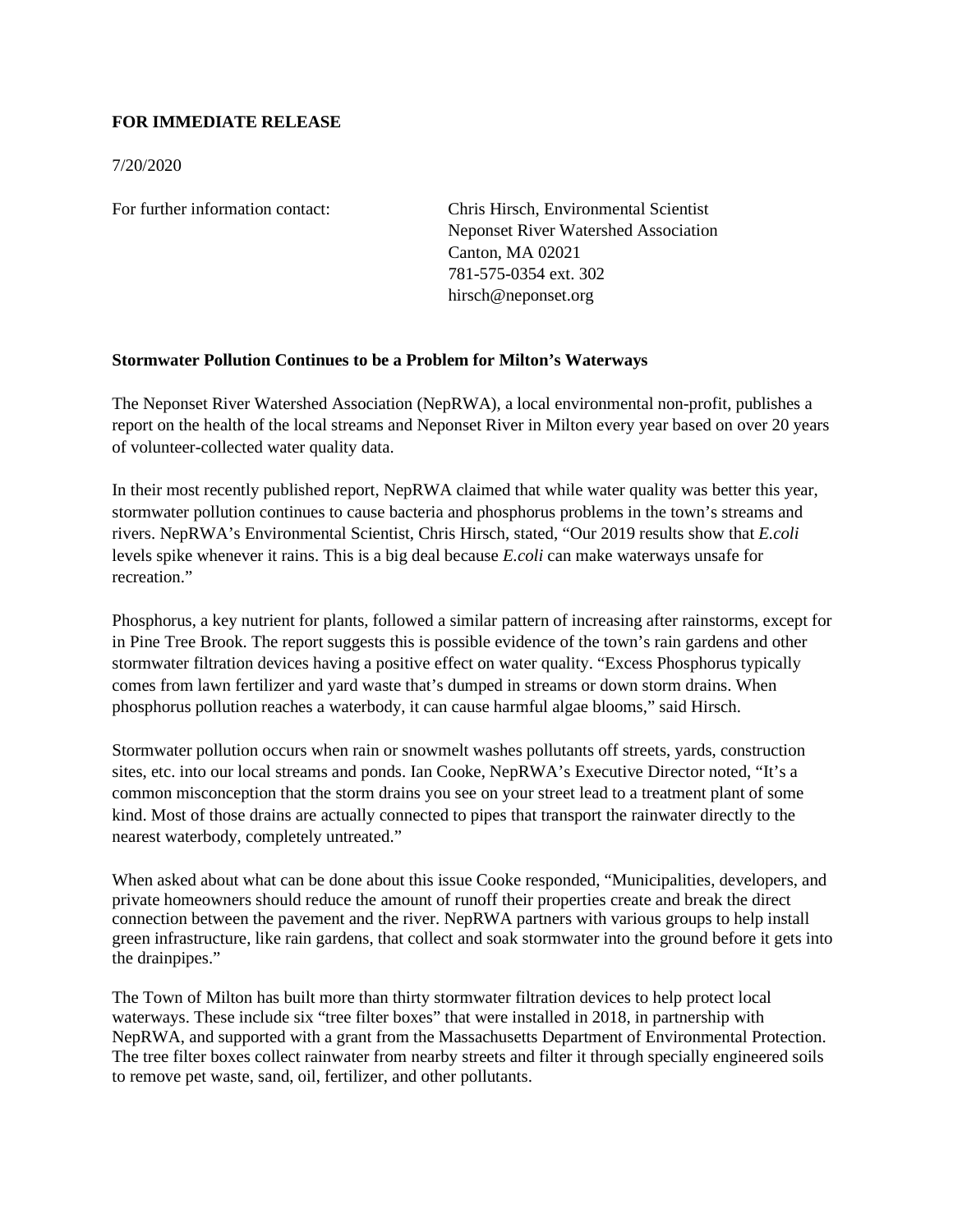## **FOR IMMEDIATE RELEASE**

7/20/2020

For further information contact: Chris Hirsch, Environmental Scientist Neponset River Watershed Association Canton, MA 02021 781-575-0354 ext. 302 hirsch@neponset.org

## **Stormwater Pollution Continues to be a Problem for Milton's Waterways**

The Neponset River Watershed Association (NepRWA), a local environmental non-profit, publishes a report on the health of the local streams and Neponset River in Milton every year based on over 20 years of volunteer-collected water quality data.

In their most recently published report, NepRWA claimed that while water quality was better this year, stormwater pollution continues to cause bacteria and phosphorus problems in the town's streams and rivers. NepRWA's Environmental Scientist, Chris Hirsch, stated, "Our 2019 results show that *E.coli* levels spike whenever it rains. This is a big deal because *E.coli* can make waterways unsafe for recreation"

Phosphorus, a key nutrient for plants, followed a similar pattern of increasing after rainstorms, except for in Pine Tree Brook. The report suggests this is possible evidence of the town's rain gardens and other stormwater filtration devices having a positive effect on water quality. "Excess Phosphorus typically comes from lawn fertilizer and yard waste that's dumped in streams or down storm drains. When phosphorus pollution reaches a waterbody, it can cause harmful algae blooms," said Hirsch.

Stormwater pollution occurs when rain or snowmelt washes pollutants off streets, yards, construction sites, etc. into our local streams and ponds. Ian Cooke, NepRWA's Executive Director noted, "It's a common misconception that the storm drains you see on your street lead to a treatment plant of some kind. Most of those drains are actually connected to pipes that transport the rainwater directly to the nearest waterbody, completely untreated."

When asked about what can be done about this issue Cooke responded, "Municipalities, developers, and private homeowners should reduce the amount of runoff their properties create and break the direct connection between the pavement and the river. NepRWA partners with various groups to help install green infrastructure, like rain gardens, that collect and soak stormwater into the ground before it gets into the drainpipes."

The Town of Milton has built more than thirty stormwater filtration devices to help protect local waterways. These include six "tree filter boxes" that were installed in 2018, in partnership with NepRWA, and supported with a grant from the Massachusetts Department of Environmental Protection. The tree filter boxes collect rainwater from nearby streets and filter it through specially engineered soils to remove pet waste, sand, oil, fertilizer, and other pollutants.